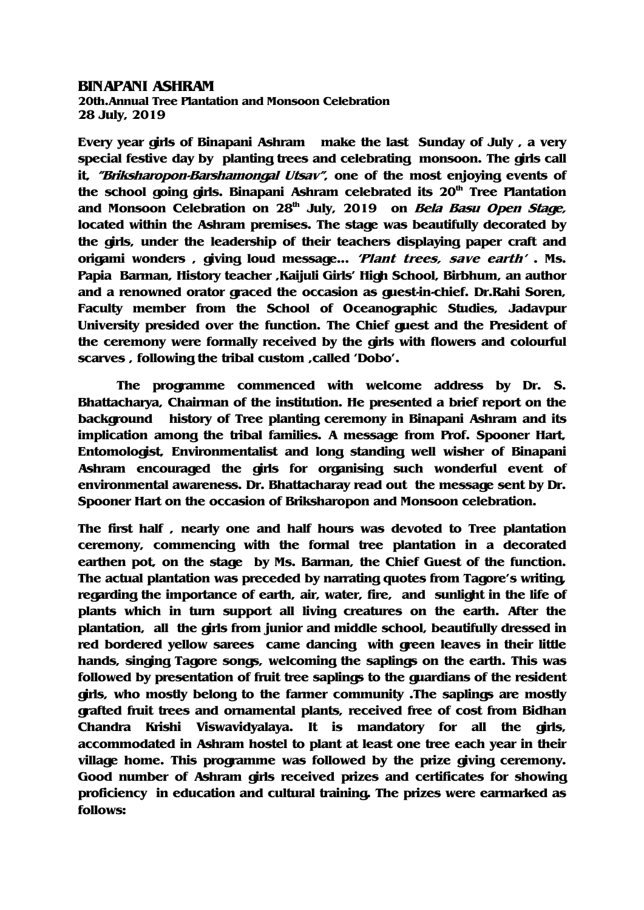## BINAPANI ASHRAM

20th.Annual Tree Plantation and Monsoon Celebration 28 July, 2019

Every year girls of Binapani Ashram make the last Sunday of July , a very special festive day by planting trees and celebrating monsoon. The girls call it, "Briksharopon-Barshamongal Utsav", one of the most enjoying events of the school going girls. Binapani Ashram celebrated its  $20<sup>th</sup>$  Tree Plantation and Monsoon Celebration on  $28<sup>th</sup>$  July, 2019 on *Bela Basu Open Stage*, located within the Ashram premises. The stage was beautifully decorated by the girls, under the leadership of their teachers displaying paper craft and origami wonders , giving loud message... 'Plant trees, save earth' . Ms. Papia Barman, History teacher ,Kaijuli Girls' High School, Birbhum, an author and a renowned orator graced the occasion as guest-in-chief. Dr.Rahi Soren, Faculty member from the School of Oceanographic Studies, Jadavpur University presided over the function. The Chief guest and the President of the ceremony were formally received by the girls with flowers and colourful scarves , following the tribal custom ,called 'Dobo'.

The programme commenced with welcome address by Dr. S. Bhattacharya, Chairman of the institution. He presented a brief report on the background history of Tree planting ceremony in Binapani Ashram and its implication among the tribal families. A message from Prof. Spooner Hart, Entomologist, Environmentalist and long standing well wisher of Binapani Ashram encouraged the girls for organising such wonderful event of environmental awareness. Dr. Bhattacharay read out the message sent by Dr. Spooner Hart on the occasion of Briksharopon and Monsoon celebration.

The first half , nearly one and half hours was devoted to Tree plantation ceremony, commencing with the formal tree plantation in a decorated earthen pot, on the stage by Ms. Barman, the Chief Guest of the function. The actual plantation was preceded by narrating quotes from Tagore's writing, regarding the importance of earth, air, water, fire, and sunlight in the life of plants which in turn support all living creatures on the earth. After the plantation, all the girls from junior and middle school, beautifully dressed in red bordered yellow sarees came dancing with green leaves in their little hands, singing Tagore songs, welcoming the saplings on the earth. This was followed by presentation of fruit tree saplings to the guardians of the resident girls, who mostly belong to the farmer community .The saplings are mostly grafted fruit trees and ornamental plants, received free of cost from Bidhan Chandra Krishi Viswavidyalaya. It is mandatory for all the girls, accommodated in Ashram hostel to plant at least one tree each year in their village home. This programme was followed by the prize giving ceremony. Good number of Ashram girls received prizes and certificates for showing proficiency in education and cultural training. The prizes were earmarked as follows: